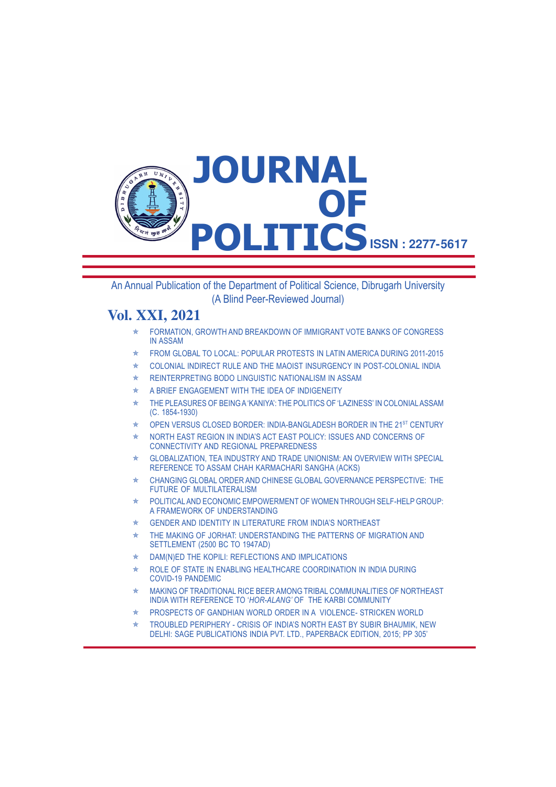

An Annual Publication of the Department of Political Science, Dibrugarh University (A Blind Peer-Reviewed Journal)

# **Vol. XXI, 2021**

- **E FORMATION, GROWTH AND BREAKDOWN OF IMMIGRANT VOTE BANKS OF CONGRESS** IN ASSAM
- $\star$  FROM GLOBAL TO LOCAL: POPULAR PROTESTS IN LATIN AMERICA DURING 2011-2015
- $\star$  COLONIAL INDIRECT RULE AND THE MAOIST INSURGENCY IN POST-COLONIAL INDIA
- $\star$  REINTERPRETING BODO LINGUISTIC NATIONALISM IN ASSAM
- $\star$  A BRIEF ENGAGEMENT WITH THE IDEA OF INDIGENEITY
- $\star$  THE PLEASURES OF BEING A 'KANIYA': THE POLITICS OF 'LAZINESS' IN COLONIAL ASSAM (C. 1854-1930)
- OPEN VERSUS CLOSED BORDER: INDIA-BANGLADESH BORDER IN THE 21<sup>ST</sup> CENTURY
- Û NORTH EAST REGION IN INDIA'S ACT EAST POLICY: ISSUES AND CONCERNS OF CONNECTIVITY AND REGIONAL PREPAREDNESS
- GLOBALIZATION, TEA INDUSTRY AND TRADE UNIONISM: AN OVERVIEW WITH SPECIAL REFERENCE TO ASSAM CHAH KARMACHARI SANGHA (ACKS)
- $\star$  CHANGING GLOBAL ORDER AND CHINESE GLOBAL GOVERNANCE PERSPECTIVE: THE FUTURE OF MULTILATERALISM
- $\star$  POLITICAL AND ECONOMIC EMPOWERMENT OF WOMEN THROUGH SELF-HELP GROUP: A FRAMEWORK OF UNDERSTANDING
- $\star$  GENDER AND IDENTITY IN LITERATURE FROM INDIA'S NORTHEAST
- $*$  THE MAKING OF JORHAT: UNDERSTANDING THE PATTERNS OF MIGRATION AND SETTLEMENT (2500 BC TO 1947AD)
- $\star$  DAM(N)ED THE KOPILI: REFLECTIONS AND IMPLICATIONS
- $\star$  ROLE OF STATE IN ENABLING HEALTHCARE COORDINATION IN INDIA DURING COVID-19 PANDEMIC
- MAKING OF TRADITIONAL RICE BEER AMONG TRIBAL COMMUNALITIES OF NORTHEAST INDIA WITH REFERENCE TO '*HOR-ALANG'* OF THE KARBI COMMUNITY
- Û PROSPECTS OF GANDHIAN WORLD ORDER IN A VIOLENCE- STRICKEN WORLD
- $\star$  TROUBLED PERIPHERY CRISIS OF INDIA'S NORTH EAST BY SUBIR BHAUMIK, NEW DELHI: SAGE PUBLICATIONS INDIA PVT. LTD., PAPERBACK EDITION, 2015; PP 305'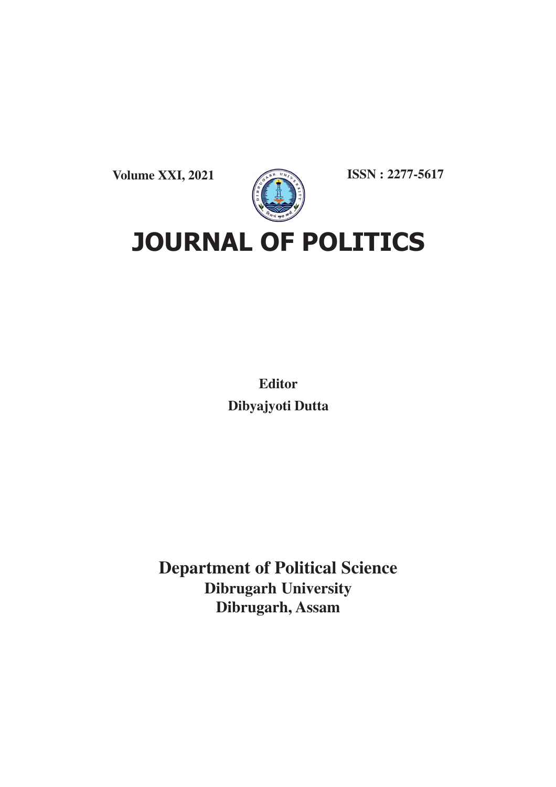**Volume XXI, 2021**



**ISSN : 2277-5617**

**JOURNAL OF POLITICS**

**Editor Dibyajyoti Dutta**

**Department of Political Science Dibrugarh University Dibrugarh, Assam**